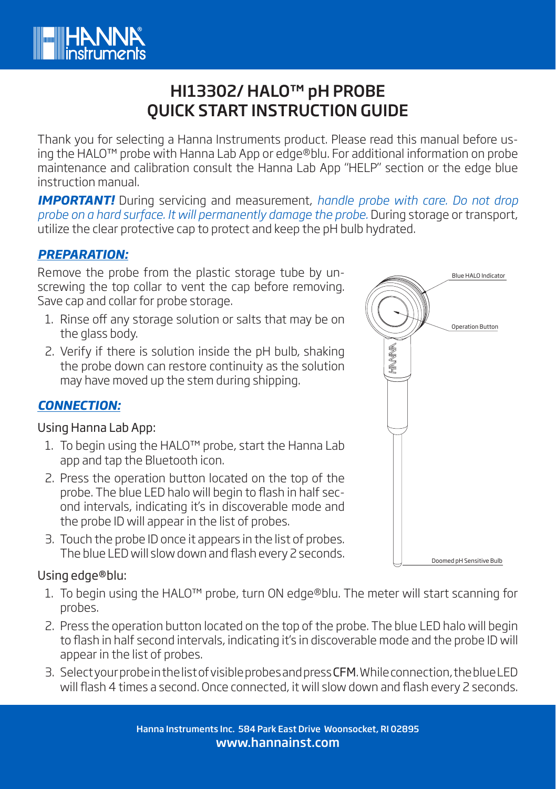

# HI13302/ HALO™ pH PROBE QUICK START INSTRUCTION GUIDE

Thank you for selecting a Hanna Instruments product. Please read this manual before using the HALO™ probe with Hanna Lab App or edge®blu. For additional information on probe maintenance and calibration consult the Hanna Lab App "HELP" section or the edge blue instruction manual.

*IMPORTANT!* During servicing and measurement, *handle probe with care. Do not drop probe on a hard surface. It will permanently damage the probe.* During storage or transport, utilize the clear protective cap to protect and keep the pH bulb hydrated.

## *PREPARATION:*

Remove the probe from the plastic storage tube by unscrewing the top collar to vent the cap before removing. Save cap and collar for probe storage.

- 1. Rinse off any storage solution or salts that may be on the glass body.
- 2. Verify if there is solution inside the pH bulb, shaking the probe down can restore continuity as the solution may have moved up the stem during shipping.

# *CONNECTION:*

#### Using Hanna Lab App:

- 1. To begin using the HALO™ probe, start the Hanna Lab app and tap the Bluetooth icon.
- 2. Press the operation button located on the top of the probe. The blue LED halo will begin to flash in half second intervals, indicating it's in discoverable mode and the probe ID will appear in the list of probes.
- 3. Touch the probe ID once it appears in the list of probes. The blue LED will slow down and flash every 2 seconds.

### Using edge®blu:

- 1. To begin using the HALO™ probe, turn ON edge®blu. The meter will start scanning for probes.
- 2. Press the operation button located on the top of the probe. The blue LED halo will begin to flash in half second intervals, indicating it's in discoverable mode and the probe ID will appear in the list of probes.
- 3. Select your probe in the list of visible probes and press CFM. While connection, the blue LED will flash 4 times a second. Once connected, it will slow down and flash every 2 seconds.